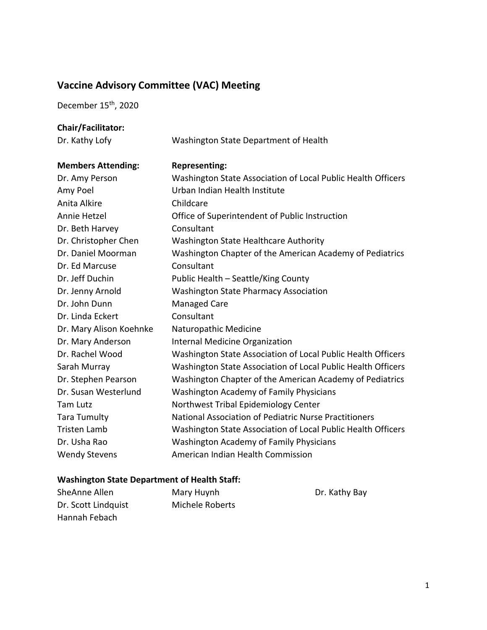## **Vaccine Advisory Committee (VAC) Meeting**

December 15<sup>th</sup>, 2020

## **Chair/Facilitator:**

| Dr. Kathy Lofy            | Washington State Department of Health                        |
|---------------------------|--------------------------------------------------------------|
| <b>Members Attending:</b> | <b>Representing:</b>                                         |
| Dr. Amy Person            | Washington State Association of Local Public Health Officers |
| Amy Poel                  | Urban Indian Health Institute                                |
| Anita Alkire              | Childcare                                                    |
| Annie Hetzel              | Office of Superintendent of Public Instruction               |
| Dr. Beth Harvey           | Consultant                                                   |
| Dr. Christopher Chen      | Washington State Healthcare Authority                        |
| Dr. Daniel Moorman        | Washington Chapter of the American Academy of Pediatrics     |
| Dr. Ed Marcuse            | Consultant                                                   |
| Dr. Jeff Duchin           | Public Health - Seattle/King County                          |
| Dr. Jenny Arnold          | <b>Washington State Pharmacy Association</b>                 |
| Dr. John Dunn             | <b>Managed Care</b>                                          |
| Dr. Linda Eckert          | Consultant                                                   |
| Dr. Mary Alison Koehnke   | Naturopathic Medicine                                        |
| Dr. Mary Anderson         | Internal Medicine Organization                               |
| Dr. Rachel Wood           | Washington State Association of Local Public Health Officers |
| Sarah Murray              | Washington State Association of Local Public Health Officers |
| Dr. Stephen Pearson       | Washington Chapter of the American Academy of Pediatrics     |
| Dr. Susan Westerlund      | <b>Washington Academy of Family Physicians</b>               |
| <b>Tam Lutz</b>           | Northwest Tribal Epidemiology Center                         |
| <b>Tara Tumulty</b>       | National Association of Pediatric Nurse Practitioners        |
| <b>Tristen Lamb</b>       | Washington State Association of Local Public Health Officers |
| Dr. Usha Rao              | Washington Academy of Family Physicians                      |
| <b>Wendy Stevens</b>      | American Indian Health Commission                            |

## **Washington State Department of Health Staff:**

| SheAnne Allen       | Mary Huynh      | Dr. Kathy Bay |
|---------------------|-----------------|---------------|
| Dr. Scott Lindquist | Michele Roberts |               |
| Hannah Febach       |                 |               |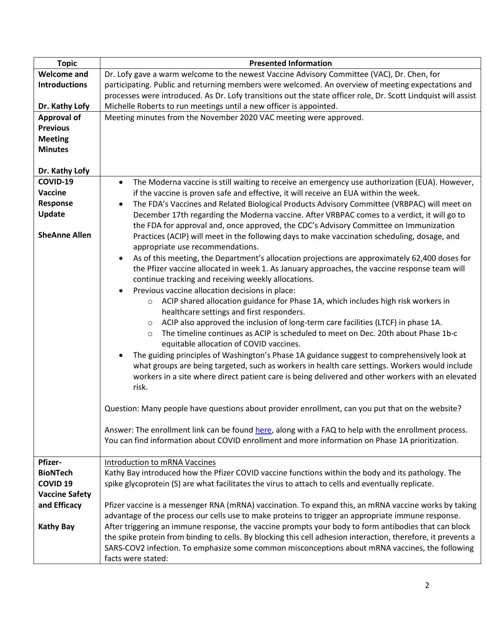| <b>Topic</b>          | <b>Presented Information</b>                                                                                   |
|-----------------------|----------------------------------------------------------------------------------------------------------------|
| <b>Welcome and</b>    | Dr. Lofy gave a warm welcome to the newest Vaccine Advisory Committee (VAC), Dr. Chen, for                     |
| <b>Introductions</b>  | participating. Public and returning members were welcomed. An overview of meeting expectations and             |
|                       | processes were introduced. As Dr. Lofy transitions out the state officer role, Dr. Scott Lindquist will assist |
| Dr. Kathy Lofy        | Michelle Roberts to run meetings until a new officer is appointed.                                             |
| <b>Approval of</b>    | Meeting minutes from the November 2020 VAC meeting were approved.                                              |
| <b>Previous</b>       |                                                                                                                |
| <b>Meeting</b>        |                                                                                                                |
|                       |                                                                                                                |
| <b>Minutes</b>        |                                                                                                                |
|                       |                                                                                                                |
| Dr. Kathy Lofy        |                                                                                                                |
| COVID-19              | The Moderna vaccine is still waiting to receive an emergency use authorization (EUA). However,<br>$\bullet$    |
| Vaccine               | if the vaccine is proven safe and effective, it will receive an EUA within the week.                           |
| Response              | The FDA's Vaccines and Related Biological Products Advisory Committee (VRBPAC) will meet on<br>$\bullet$       |
| Update                | December 17th regarding the Moderna vaccine. After VRBPAC comes to a verdict, it will go to                    |
|                       | the FDA for approval and, once approved, the CDC's Advisory Committee on Immunization                          |
| <b>SheAnne Allen</b>  | Practices (ACIP) will meet in the following days to make vaccination scheduling, dosage, and                   |
|                       | appropriate use recommendations.                                                                               |
|                       | As of this meeting, the Department's allocation projections are approximately 62,400 doses for<br>$\bullet$    |
|                       | the Pfizer vaccine allocated in week 1. As January approaches, the vaccine response team will                  |
|                       |                                                                                                                |
|                       | continue tracking and receiving weekly allocations.                                                            |
|                       | Previous vaccine allocation decisions in place:<br>$\bullet$                                                   |
|                       | ACIP shared allocation guidance for Phase 1A, which includes high risk workers in<br>$\circ$                   |
|                       | healthcare settings and first responders.                                                                      |
|                       | ACIP also approved the inclusion of long-term care facilities (LTCF) in phase 1A.<br>$\circ$                   |
|                       | The timeline continues as ACIP is scheduled to meet on Dec. 20th about Phase 1b-c<br>$\circ$                   |
|                       | equitable allocation of COVID vaccines.                                                                        |
|                       | The guiding principles of Washington's Phase 1A guidance suggest to comprehensively look at<br>$\bullet$       |
|                       | what groups are being targeted, such as workers in health care settings. Workers would include                 |
|                       | workers in a site where direct patient care is being delivered and other workers with an elevated              |
|                       | risk.                                                                                                          |
|                       |                                                                                                                |
|                       |                                                                                                                |
|                       | Question: Many people have questions about provider enrollment, can you put that on the website?               |
|                       |                                                                                                                |
|                       | Answer: The enrollment link can be found here, along with a FAQ to help with the enrollment process.           |
|                       | You can find information about COVID enrollment and more information on Phase 1A prioritization.               |
|                       |                                                                                                                |
| Pfizer-               | Introduction to mRNA Vaccines                                                                                  |
| <b>BioNTech</b>       | Kathy Bay introduced how the Pfizer COVID vaccine functions within the body and its pathology. The             |
| <b>COVID 19</b>       | spike glycoprotein (S) are what facilitates the virus to attach to cells and eventually replicate.             |
| <b>Vaccine Safety</b> |                                                                                                                |
| and Efficacy          | Pfizer vaccine is a messenger RNA (mRNA) vaccination. To expand this, an mRNA vaccine works by taking          |
|                       | advantage of the process our cells use to make proteins to trigger an appropriate immune response.             |
| <b>Kathy Bay</b>      | After triggering an immune response, the vaccine prompts your body to form antibodies that can block           |
|                       | the spike protein from binding to cells. By blocking this cell adhesion interaction, therefore, it prevents a  |
|                       | SARS-COV2 infection. To emphasize some common misconceptions about mRNA vaccines, the following                |
|                       |                                                                                                                |
|                       | facts were stated:                                                                                             |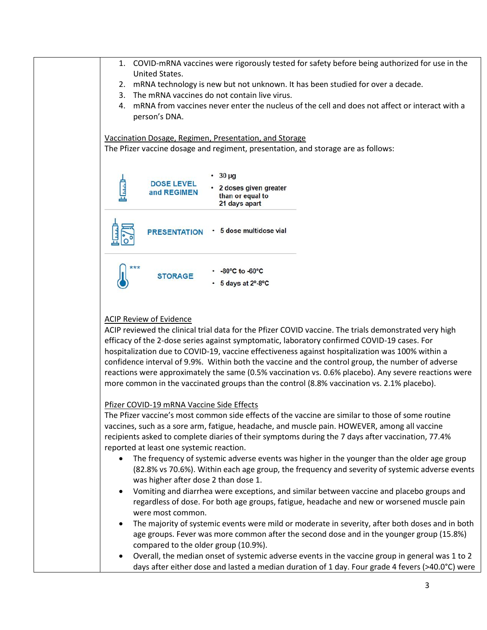| 1. COVID-mRNA vaccines were rigorously tested for safety before being authorized for use in the                                                                                                                                                                                                                                                                                                                                                                                                                                                                                                                                                       |
|-------------------------------------------------------------------------------------------------------------------------------------------------------------------------------------------------------------------------------------------------------------------------------------------------------------------------------------------------------------------------------------------------------------------------------------------------------------------------------------------------------------------------------------------------------------------------------------------------------------------------------------------------------|
| United States.                                                                                                                                                                                                                                                                                                                                                                                                                                                                                                                                                                                                                                        |
| mRNA technology is new but not unknown. It has been studied for over a decade.<br>2.                                                                                                                                                                                                                                                                                                                                                                                                                                                                                                                                                                  |
| The mRNA vaccines do not contain live virus.<br>3.                                                                                                                                                                                                                                                                                                                                                                                                                                                                                                                                                                                                    |
| mRNA from vaccines never enter the nucleus of the cell and does not affect or interact with a<br>4.<br>person's DNA.                                                                                                                                                                                                                                                                                                                                                                                                                                                                                                                                  |
| Vaccination Dosage, Regimen, Presentation, and Storage                                                                                                                                                                                                                                                                                                                                                                                                                                                                                                                                                                                                |
| The Pfizer vaccine dosage and regiment, presentation, and storage are as follows:                                                                                                                                                                                                                                                                                                                                                                                                                                                                                                                                                                     |
| $30 \mu g$                                                                                                                                                                                                                                                                                                                                                                                                                                                                                                                                                                                                                                            |
| <b>DOSE LEVEL</b><br>• 2 doses given greater<br>and REGIMEN<br>than or equal to<br>21 days apart                                                                                                                                                                                                                                                                                                                                                                                                                                                                                                                                                      |
| · 5 dose multidose vial<br><b>PRESENTATION</b>                                                                                                                                                                                                                                                                                                                                                                                                                                                                                                                                                                                                        |
| ***<br>$-80^{\circ}$ C to $-60^{\circ}$ C<br><b>STORAGE</b><br>+ 5 days at 2°-8℃                                                                                                                                                                                                                                                                                                                                                                                                                                                                                                                                                                      |
| <b>ACIP Review of Evidence</b><br>ACIP reviewed the clinical trial data for the Pfizer COVID vaccine. The trials demonstrated very high<br>efficacy of the 2-dose series against symptomatic, laboratory confirmed COVID-19 cases. For<br>hospitalization due to COVID-19, vaccine effectiveness against hospitalization was 100% within a<br>confidence interval of 9.9%. Within both the vaccine and the control group, the number of adverse<br>reactions were approximately the same (0.5% vaccination vs. 0.6% placebo). Any severe reactions were<br>more common in the vaccinated groups than the control (8.8% vaccination vs. 2.1% placebo). |
| Pfizer COVID-19 mRNA Vaccine Side Effects<br>The Pfizer vaccine's most common side effects of the vaccine are similar to those of some routine                                                                                                                                                                                                                                                                                                                                                                                                                                                                                                        |

The Pfizer vaccine's most common side effects of the vaccine are similar to those of some routine vaccines, such as a sore arm, fatigue, headache, and muscle pain. HOWEVER, among all vaccine recipients asked to complete diaries of their symptoms during the 7 days after vaccination, 77.4% reported at least one systemic reaction.

- The frequency of systemic adverse events was higher in the younger than the older age group (82.8% vs 70.6%). Within each age group, the frequency and severity of systemic adverse events was higher after dose 2 than dose 1.
- Vomiting and diarrhea were exceptions, and similar between vaccine and placebo groups and regardless of dose. For both age groups, fatigue, headache and new or worsened muscle pain were most common.
- The majority of systemic events were mild or moderate in severity, after both doses and in both age groups. Fever was more common after the second dose and in the younger group (15.8%) compared to the older group (10.9%).
- Overall, the median onset of systemic adverse events in the vaccine group in general was 1 to 2 days after either dose and lasted a median duration of 1 day. Four grade 4 fevers (>40.0°C) were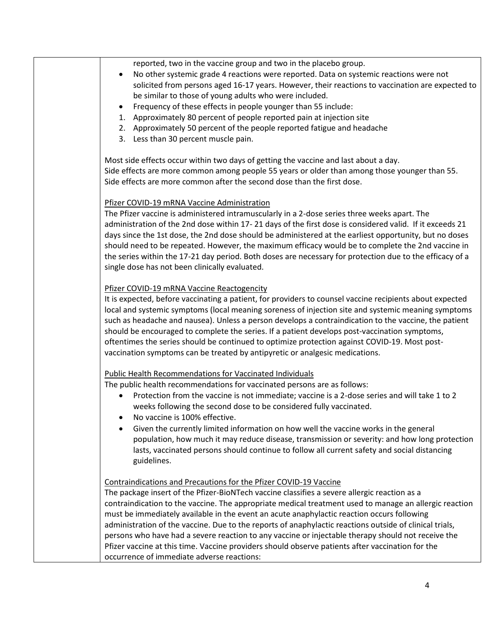| reported, two in the vaccine group and two in the placebo group.<br>No other systemic grade 4 reactions were reported. Data on systemic reactions were not<br>solicited from persons aged 16-17 years. However, their reactions to vaccination are expected to<br>be similar to those of young adults who were included.<br>Frequency of these effects in people younger than 55 include:<br>1. Approximately 80 percent of people reported pain at injection site<br>2. Approximately 50 percent of the people reported fatigue and headache<br>3. Less than 30 percent muscle pain.                                                                                                                                                        |
|----------------------------------------------------------------------------------------------------------------------------------------------------------------------------------------------------------------------------------------------------------------------------------------------------------------------------------------------------------------------------------------------------------------------------------------------------------------------------------------------------------------------------------------------------------------------------------------------------------------------------------------------------------------------------------------------------------------------------------------------|
| Most side effects occur within two days of getting the vaccine and last about a day.<br>Side effects are more common among people 55 years or older than among those younger than 55.<br>Side effects are more common after the second dose than the first dose.                                                                                                                                                                                                                                                                                                                                                                                                                                                                             |
| Pfizer COVID-19 mRNA Vaccine Administration<br>The Pfizer vaccine is administered intramuscularly in a 2-dose series three weeks apart. The<br>administration of the 2nd dose within 17-21 days of the first dose is considered valid. If it exceeds 21<br>days since the 1st dose, the 2nd dose should be administered at the earliest opportunity, but no doses<br>should need to be repeated. However, the maximum efficacy would be to complete the 2nd vaccine in<br>the series within the 17-21 day period. Both doses are necessary for protection due to the efficacy of a<br>single dose has not been clinically evaluated.                                                                                                         |
| Pfizer COVID-19 mRNA Vaccine Reactogencity<br>It is expected, before vaccinating a patient, for providers to counsel vaccine recipients about expected<br>local and systemic symptoms (local meaning soreness of injection site and systemic meaning symptoms<br>such as headache and nausea). Unless a person develops a contraindication to the vaccine, the patient<br>should be encouraged to complete the series. If a patient develops post-vaccination symptoms,<br>oftentimes the series should be continued to optimize protection against COVID-19. Most post-<br>vaccination symptoms can be treated by antipyretic or analgesic medications.                                                                                     |
| <b>Public Health Recommendations for Vaccinated Individuals</b><br>The public health recommendations for vaccinated persons are as follows:<br>Protection from the vaccine is not immediate; vaccine is a 2-dose series and will take 1 to 2<br>weeks following the second dose to be considered fully vaccinated.<br>No vaccine is 100% effective.<br>Given the currently limited information on how well the vaccine works in the general<br>population, how much it may reduce disease, transmission or severity: and how long protection<br>lasts, vaccinated persons should continue to follow all current safety and social distancing<br>guidelines.                                                                                  |
| Contraindications and Precautions for the Pfizer COVID-19 Vaccine<br>The package insert of the Pfizer-BioNTech vaccine classifies a severe allergic reaction as a<br>contraindication to the vaccine. The appropriate medical treatment used to manage an allergic reaction<br>must be immediately available in the event an acute anaphylactic reaction occurs following<br>administration of the vaccine. Due to the reports of anaphylactic reactions outside of clinical trials,<br>persons who have had a severe reaction to any vaccine or injectable therapy should not receive the<br>Pfizer vaccine at this time. Vaccine providers should observe patients after vaccination for the<br>occurrence of immediate adverse reactions: |